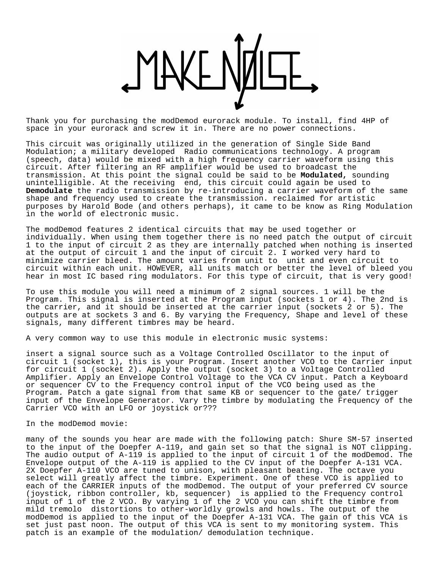

Thank you for purchasing the modDemod eurorack module. To install, find 4HP of space in your eurorack and screw it in. There are no power connections.

This circuit was originally utilized in the generation of Single Side Band Modulation; a military developed Radio communications technology. A program (speech, data) would be mixed with a high frequency carrier waveform using this circuit. After filtering an RF amplifier would be used to broadcast the transmission. At this point the signal could be said to be **Modulated,** sounding unintelligible. At the receiving end, this circuit could again be used to **Demodulate** the radio transmission by re-introducing a carrier waveform of the same shape and frequency used to create the transmission. reclaimed for artistic purposes by Harold Bode (and others perhaps), it came to be know as Ring Modulation in the world of electronic music.

The modDemod features 2 identical circuits that may be used together or individually. When using them together there is no need patch the output of circuit 1 to the input of circuit 2 as they are internally patched when nothing is inserted at the output of circuit 1 and the input of circuit 2. I worked very hard to minimize carrier bleed. The amount varies from unit to unit and even circuit to circuit within each unit. HOWEVER, all units match or better the level of bleed you hear in most IC based ring modulators. For this type of circuit, that is very good!

To use this module you will need a minimum of 2 signal sources. 1 will be the Program. This signal is inserted at the Program input (sockets 1 or 4). The 2nd is the carrier, and it should be inserted at the carrier input (sockets 2 or 5). The outputs are at sockets 3 and 6. By varying the Frequency, Shape and level of these signals, many different timbres may be heard.

A very common way to use this module in electronic music systems:

insert a signal source such as a Voltage Controlled Oscillator to the input of circuit 1 (socket 1), this is your Program. Insert another VCO to the Carrier input for circuit 1 (socket 2). Apply the output (socket 3) to a Voltage Controlled Amplifier. Apply an Envelope Control Voltage to the VCA CV input. Patch a Keyboard or sequencer CV to the Frequency control input of the VCO being used as the Program. Patch a gate signal from that same KB or sequencer to the gate/ trigger input of the Envelope Generator. Vary the timbre by modulating the Frequency of the Carrier VCO with an LFO or joystick or???

## In the modDemod movie:

many of the sounds you hear are made with the following patch: Shure SM-57 inserted to the input of the Doepfer A-119, and gain set so that the signal is NOT clipping. The audio output of A-119 is applied to the input of circuit 1 of the modDemod. The Envelope output of the A-119 is applied to the CV input of the Doepfer A-131 VCA. 2X Doepfer A-110 VCO are tuned to unison, with pleasant beating. The octave you select will greatly affect the timbre. Experiment. One of these VCO is applied to each of the CARRIER inputs of the modDemod. The output of your preferred CV source (joystick, ribbon controller, kb, sequencer) is applied to the Frequency control input of 1 of the 2 VCO. By varying 1 of the 2 VCO you can shift the timbre from mild tremolo distortions to other-worldly growls and howls. The output of the modDemod is applied to the input of the Doepfer A-131 VCA. The gain of this VCA is set just past noon. The output of this VCA is sent to my monitoring system. This patch is an example of the modulation/ demodulation technique.